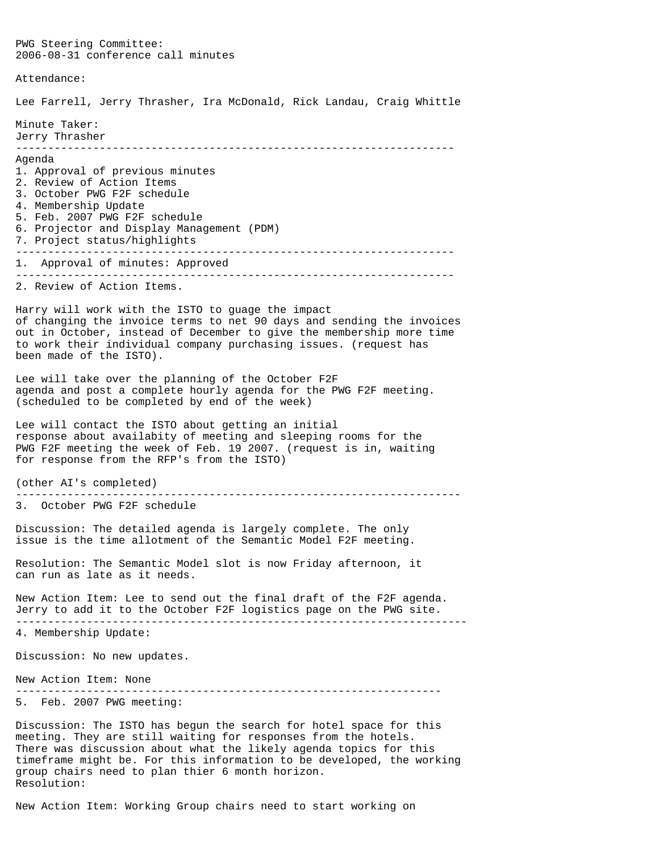PWG Steering Committee: 2006-08-31 conference call minutes Attendance: Lee Farrell, Jerry Thrasher, Ira McDonald, Rick Landau, Craig Whittle Minute Taker: Jerry Thrasher -------------------------------------------------------------------- Agenda 1. Approval of previous minutes 2. Review of Action Items 3. October PWG F2F schedule 4. Membership Update 5. Feb. 2007 PWG F2F schedule 6. Projector and Display Management (PDM) 7. Project status/highlights -------------------------------------------------------------------- 1. Approval of minutes: Approved -------------------------------------------------------------------- 2. Review of Action Items. Harry will work with the ISTO to guage the impact of changing the invoice terms to net 90 days and sending the invoices out in October, instead of December to give the membership more time to work their individual company purchasing issues. (request has been made of the ISTO). Lee will take over the planning of the October F2F agenda and post a complete hourly agenda for the PWG F2F meeting. (scheduled to be completed by end of the week) Lee will contact the ISTO about getting an initial response about availabity of meeting and sleeping rooms for the PWG F2F meeting the week of Feb. 19 2007. (request is in, waiting for response from the RFP's from the ISTO) (other AI's completed) --------------------------------------------------------------------- 3. October PWG F2F schedule Discussion: The detailed agenda is largely complete. The only issue is the time allotment of the Semantic Model F2F meeting. Resolution: The Semantic Model slot is now Friday afternoon, it can run as late as it needs. New Action Item: Lee to send out the final draft of the F2F agenda. Jerry to add it to the October F2F logistics page on the PWG site. ---------------------------------------------------------------------- 4. Membership Update: Discussion: No new updates. New Action Item: None ------------------------------------------------------------------ 5. Feb. 2007 PWG meeting: Discussion: The ISTO has begun the search for hotel space for this meeting. They are still waiting for responses from the hotels. There was discussion about what the likely agenda topics for this timeframe might be. For this information to be developed, the working

New Action Item: Working Group chairs need to start working on

group chairs need to plan thier 6 month horizon.

Resolution: